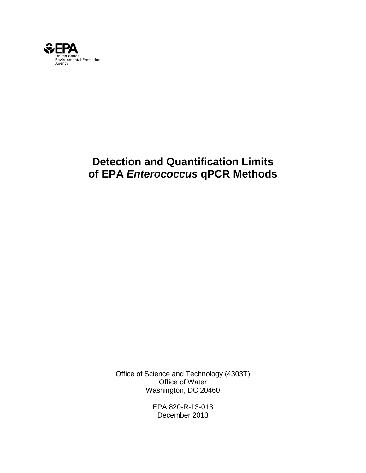

# **Detection and Quantification Limits of EPA** *Enterococcus* **qPCR Methods**

Office of Science and Technology (4303T) Office of Water Washington, DC 20460

> EPA 820-R-13-013 December 2013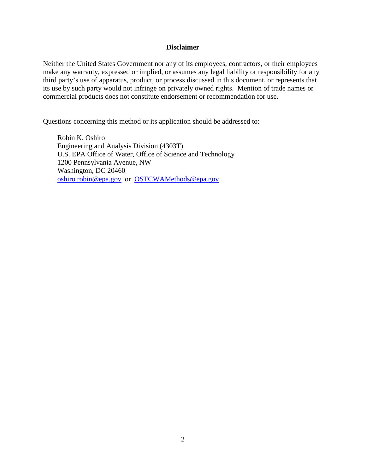#### **Disclaimer**

Neither the United States Government nor any of its employees, contractors, or their employees make any warranty, expressed or implied, or assumes any legal liability or responsibility for any third party's use of apparatus, product, or process discussed in this document, or represents that its use by such party would not infringe on privately owned rights. Mention of trade names or commercial products does not constitute endorsement or recommendation for use.

Questions concerning this method or its application should be addressed to:

 Robin K. Oshiro Engineering and Analysis Division (4303T) U.S. EPA Office of Water, Office of Science and Technology 1200 Pennsylvania Avenue, NW Washington, DC 20460 oshiro.robin@epa.gov or OSTCWAMethods@epa.gov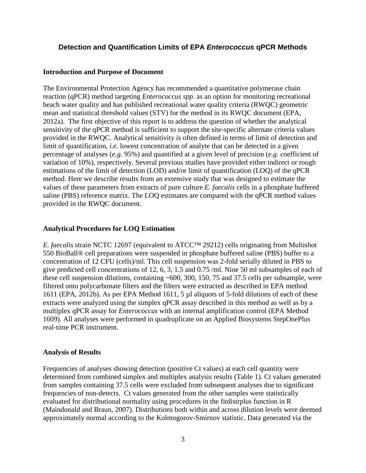## **Detection and Quantification Limits of EPA** *Enterococcus* **qPCR Methods**

#### **Introduction and Purpose of Document**

The Environmental Protection Agency has recommended a quantitative polymerase chain reaction (qPCR) method targeting *Enterococcus spp*. as an option for monitoring recreational beach water quality and has published recreational water quality criteria (RWQC) geometric mean and statistical threshold values (STV) for the method in its RWQC document (EPA, 2012a). The first objective of this report is to address the question of whether the analytical sensitivity of the qPCR method is sufficient to support the site-specific alternate criteria values provided in the RWQC. Analytical sensitivity is often defined in terms of limit of detection and limit of quantification, *i.e.* lowest concentration of analyte that can be detected in a given percentage of analyses (*e.g.* 95%) and quantified at a given level of precision (*e.g.* coefficient of variation of 10%), respectively. Several previous studies have provided either indirect or rough estimations of the limit of detection (LOD) and/or limit of quantification (LOQ) of the qPCR method. Here we describe results from an extensive study that was designed to estimate the values of these parameters from extracts of pure culture *E. faecalis* cells in a phosphate buffered saline (PBS) reference matrix. The LOQ estimates are compared with the qPCR method values provided in the RWQC document.

### **Analytical Procedures for LOQ Estimation**

*E. faecalis* strain NCTC 12697 (equivalent to ATCC™ 29212) cells originating from Multishot 550 BioBall® cell preparations were suspended in phosphate buffered saline (PBS) buffer to a concentration of 12 CFU (cells)/ml. This cell suspension was 2-fold serially diluted in PBS to give predicted cell concentrations of 12, 6, 3, 1.5 and 0.75 /ml. Nine 50 ml subsamples of each of these cell suspension dilutions, containing  $~600$ , 300, 150, 75 and 37.5 cells per subsample, were filtered onto polycarbonate filters and the filters were extracted as described in EPA method 1611 (EPA, 2012b). As per EPA Method 1611, 5 µl aliquots of 5-fold dilutions of each of these extracts were analyzed using the simplex qPCR assay described in this method as well as by a multiplex qPCR assay for *Enterococcus* with an internal amplification control (EPA Method 1609). All analyses were performed in quadruplicate on an Applied Biosystems StepOnePlus real-time PCR instrument.

### **Analysis of Results**

Frequencies of analyses showing detection (positive Ct values) at each cell quantity were determined from combined simplex and multiplex analysis results (Table 1). Ct values generated from samples containing 37.5 cells were excluded from subsequent analyses due to significant frequencies of non-detects. Ct values generated from the other samples were statistically evaluated for distributional normality using procedures in the fitdistrplus function in R (Maindonald and Braun, 2007). Distributions both within and across dilution levels were deemed approximately normal according to the Kolmogorov-Smirnov statistic. Data generated via the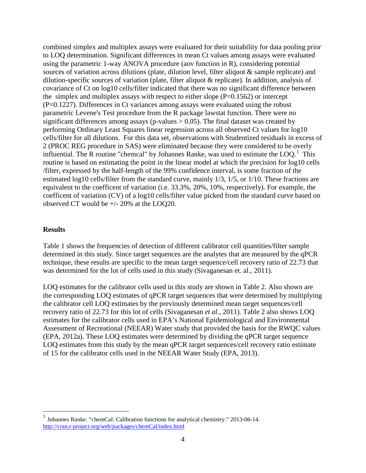combined simplex and multiplex assays were evaluated for their suitability for data pooling prior to LOQ determination. Significant differences in mean Ct values among assays were evaluated using the parametric 1-way ANOVA procedure (aov function in R), considering potential sources of variation across dilutions (plate, dilution level, filter aliquot & sample replicate) and dilution-specific sources of variation (plate, filter aliquot & replicate). In addition, analysis of covariance of Ct on log10 cells/filter indicated that there was no significant difference between the simplex and multiplex assays with respect to either slope  $(P=0.1562)$  or intercept (P=0.1227). Differences in Ct variances among assays were evaluated using the robust parametric Levene's Test procedure from the R package lawstat function. There were no significant differences among assays (p-values  $> 0.05$ ). The final dataset was created by performing Ordinary Least Squares linear regression across all observed Ct values for log10 cells/filter for all dilutions. For this data set, observations with Studentized residuals in excess of 2 (PROC REG procedure in SAS) were eliminated because they were considered to be overly influential. The R routine "chemcal" by Johannes Ranke, was used to estimate the  $LOQ$ .<sup>[1](#page-3-0)</sup> This routine is based on estimating the point in the linear model at which the precision for log10 cells /filter, expressed by the half-length of the 99% confidence interval, is some fraction of the estimated log10 cells/filter from the standard curve, mainly 1/3, 1/5, or 1/10. These fractions are equivalent to the coefficent of variation (i.e. 33.3%, 20%, 10%, respectively). For example, the coefficent of variation (CV) of a log10 cells/filter value picked from the standard curve based on observed CT would be +/- 20% at the LOQ20.

### **Results**

 $\overline{a}$ 

Table 1 shows the frequencies of detection of different calibrator cell quantities/filter sample determined in this study. Since target sequences are the analytes that are measured by the qPCR technique, these results are specific to the mean target sequence/cell recovery ratio of 22.73 that was determined for the lot of cells used in this study (Sivaganesan et. al., 2011).

LOQ estimates for the calibrator cells used in this study are shown in Table 2. Also shown are the corresponding LOQ estimates of qPCR target sequences that were determined by multiplying the calibrator cell LOQ estimates by the previously determined mean target sequences/cell recovery ratio of 22.73 for this lot of cells (Sivaganesan *et al.*, 2011). Table 2 also shows LOQ estimates for the calibrator cells used in EPA's National Epidemiological and Environmental Assessment of Recreational (NEEAR) Water study that provided the basis for the RWQC values (EPA, 2012a). These LOQ estimates were determined by dividing the qPCR target sequence LOQ estimates from this study by the mean qPCR target sequences/cell recovery ratio estimate of 15 for the calibrator cells used in the NEEAR Water Study (EPA, 2013).

<span id="page-3-0"></span><sup>1</sup> Johannes Ranke. "**c**hemCal: Calibration functions for analytical chemistry." 2013-06-14. http://cran.r-project.org/web/packages/chemCal/index.html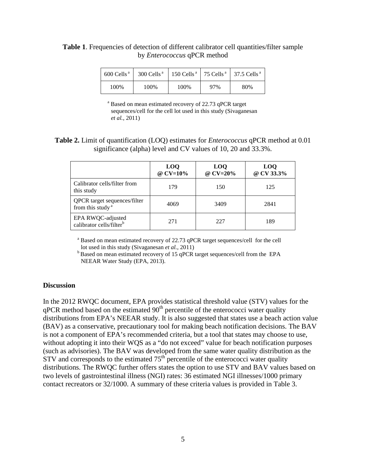# **Table 1**. Frequencies of detection of different calibrator cell quantities/filter sample by *Enterococcus* qPCR method

| $600$ Cells <sup>a</sup> | $300$ Cells <sup>a</sup> |      |     | 150 Cells <sup>a</sup>   75 Cells <sup>a</sup>   37.5 Cells <sup>a</sup> |
|--------------------------|--------------------------|------|-----|--------------------------------------------------------------------------|
| 100%                     | 100%                     | 100% | 97% | 80%                                                                      |

<sup>a</sup> Based on mean estimated recovery of 22.73 qPCR target sequences/cell for the cell lot used in this study (Sivaganesan *et al.*, 2011)

**Table 2.** Limit of quantification (LOQ) estimates for *Enterococcus* qPCR method at 0.01 significance (alpha) level and CV values of 10, 20 and 33.3%.

|                                                              | L <sub>0</sub><br>@ CV=10% | <b>LOQ</b><br>@ CV=20% | <b>LOO</b><br>@ CV 33.3% |
|--------------------------------------------------------------|----------------------------|------------------------|--------------------------|
| Calibrator cells/filter from<br>this study                   | 179                        | 150                    | 125                      |
| QPCR target sequences/filter<br>from this study <sup>a</sup> | 4069                       | 3409                   | 2841                     |
| EPA RWQC-adjusted<br>calibrator cells/filter <sup>b</sup>    | 271                        | 227                    | 189                      |

<sup>a</sup> Based on mean estimated recovery of 22.73 qPCR target sequences/cell for the cell

lot used in this study (Sivaganesan *et al.*, 2011)<br><sup>b</sup> Based on mean estimated recovery of 15 qPCR target sequences/cell from the EPA NEEAR Water Study (EPA, 2013).

#### **Discussion**

In the 2012 RWQC document, EPA provides statistical threshold value (STV) values for the  $qPCR$  method based on the estimated  $90<sup>th</sup>$  percentile of the enterococci water quality distributions from EPA's NEEAR study. It is also suggested that states use a beach action value (BAV) as a conservative, precautionary tool for making beach notification decisions. The BAV is not a component of EPA's recommended criteria, but a tool that states may choose to use, without adopting it into their WQS as a "do not exceed" value for beach notification purposes (such as advisories). The BAV was developed from the same water quality distribution as the  $STV$  and corresponds to the estimated  $75<sup>th</sup>$  percentile of the enterococci water quality distributions. The RWQC further offers states the option to use STV and BAV values based on two levels of gastrointestinal illness (NGI) rates: 36 estimated NGI illnesses/1000 primary contact recreators or 32/1000. A summary of these criteria values is provided in Table 3.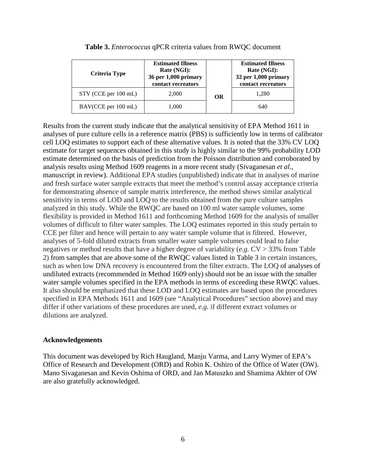| <b>Criteria Type</b> | <b>Estimated Illness</b><br>Rate (NGI):<br>36 per 1,000 primary<br>contact recreators |           | <b>Estimated Illness</b><br>Rate (NGI):<br>32 per 1,000 primary<br>contact recreators |  |
|----------------------|---------------------------------------------------------------------------------------|-----------|---------------------------------------------------------------------------------------|--|
| STV (CCE per 100 mL) | 2,000                                                                                 | <b>OR</b> | 1.280                                                                                 |  |
| BAV(CCE per 100 mL)  | 1,000                                                                                 |           | 640                                                                                   |  |

| Table 3. Enterococcus qPCR criteria values from RWQC document |  |  |  |  |  |  |
|---------------------------------------------------------------|--|--|--|--|--|--|
|---------------------------------------------------------------|--|--|--|--|--|--|

Results from the current study indicate that the analytical sensitivity of EPA Method 1611 in analyses of pure culture cells in a reference matrix (PBS) is sufficiently low in terms of calibrator cell LOQ estimates to support each of these alternative values. It is noted that the 33% CV LOQ estimate for target sequences obtained in this study is highly similar to the 99% probability LOD estimate determined on the basis of prediction from the Poisson distribution and corroborated by analysis results using Method 1609 reagents in a more recent study (Sivaganesan *et al*., manuscript in review). Additional EPA studies (unpublished) indicate that in analyses of marine and fresh surface water sample extracts that meet the method's control assay acceptance criteria for demonstrating absence of sample matrix interference, the method shows similar analytical sensitivity in terms of LOD and LOQ to the results obtained from the pure culture samples analyzed in this study. While the RWQC are based on 100 ml water sample volumes, some flexibility is provided in Method 1611 and forthcoming Method 1609 for the analysis of smaller volumes of difficult to filter water samples. The LOQ estimates reported in this study pertain to CCE per filter and hence will pertain to any water sample volume that is filtered. However, analyses of 5-fold diluted extracts from smaller water sample volumes could lead to false negatives or method results that have a higher degree of variability (*e.g.* CV > 33% from Table 2) from samples that are above some of the RWQC values listed in Table 3 in certain instances, such as when low DNA recovery is encountered from the filter extracts. The LOQ of analyses of undiluted extracts (recommended in Method 1609 only) should not be an issue with the smaller water sample volumes specified in the EPA methods in terms of exceeding these RWQC values. It also should be emphasized that these LOD and LOQ estimates are based upon the procedures specified in EPA Methods 1611 and 1609 (see "Analytical Procedures" section above) and may differ if other variations of these procedures are used, *e.g.* if different extract volumes or dilutions are analyzed.

### **Acknowledgements**

This document was developed by Rich Haugland, Manju Varma, and Larry Wymer of EPA's Office of Research and Development (ORD) and Robin K. Oshiro of the Office of Water (OW). Mano Sivaganesan and Kevin Oshima of ORD, and Jan Matuszko and Shamima Akhter of OW are also gratefully acknowledged.